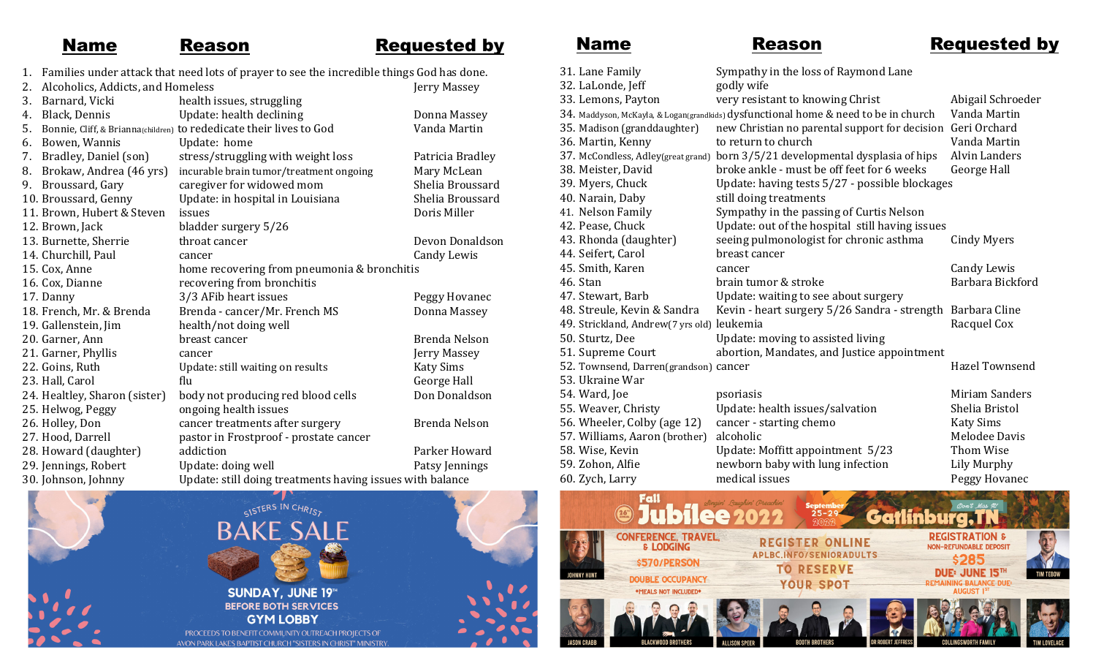## **Name** Reason Requested by

1. Families under attack that need lots of prayer to see the incredible things God has done.<br>2. Alsoholiss, Addists, and Homoloss 2. Alcoholics, Addicts, and Homeless

| Ζ. | Alconolics, Addicts, and Homeless                   |                                                                     | jerry massey     |
|----|-----------------------------------------------------|---------------------------------------------------------------------|------------------|
| 3. | Barnard, Vicki                                      | health issues, struggling                                           |                  |
| 4. | Black, Dennis                                       | Update: health declining                                            | Donna Massey     |
| 5. |                                                     | Bonnie, Cliff, & Brianna(children) to rededicate their lives to God | Vanda Martin     |
| 6. | Bowen, Wannis                                       | Update: home                                                        |                  |
| 7. | Bradley, Daniel (son)                               | stress/struggling with weight loss                                  | Patricia Bradley |
| 8. | Brokaw, Andrea (46 yrs)                             | incurable brain tumor/treatment ongoing                             | Mary McLean      |
| 9. | Broussard, Gary                                     | caregiver for widowed mom                                           | Shelia Broussard |
|    | 10. Broussard, Genny                                | Update: in hospital in Louisiana                                    | Shelia Broussard |
|    | 11. Brown, Hubert & Steven                          | issues                                                              | Doris Miller     |
|    | 12. Brown, Jack                                     | bladder surgery 5/26                                                |                  |
|    | 13. Burnette, Sherrie                               | throat cancer                                                       | Devon Donaldson  |
|    | 14. Churchill, Paul                                 | cancer                                                              | Candy Lewis      |
|    | 15. Cox, Anne                                       | home recovering from pneumonia & bronchitis                         |                  |
|    | 16. Cox, Dianne                                     | recovering from bronchitis                                          |                  |
|    | 17. Danny                                           | 3/3 AFib heart issues                                               | Peggy Hovanec    |
|    | 18. French, Mr. & Brenda                            | Brenda - cancer/Mr. French MS                                       | Donna Massey     |
|    | 19. Gallenstein, Jim                                | health/not doing well                                               |                  |
|    | 20. Garner, Ann                                     | breast cancer                                                       | Brenda Nelson    |
|    | 21. Garner, Phyllis                                 | cancer                                                              | Jerry Massey     |
|    | 22. Goins, Ruth                                     | Update: still waiting on results                                    | <b>Katy Sims</b> |
|    | 23. Hall, Carol                                     | flu                                                                 | George Hall      |
|    | 24. Healtley, Sharon (sister)                       | body not producing red blood cells                                  | Don Donaldson    |
|    | 25. Helwog, Peggy                                   | ongoing health issues                                               |                  |
|    | 26. Holley, Don                                     | cancer treatments after surgery                                     | Brenda Nelson    |
|    | 27. Hood, Darrell                                   | pastor in Frostproof - prostate cancer                              |                  |
|    | 28. Howard (daughter)                               | addiction                                                           | Parker Howard    |
|    | 29. Jennings, Robert                                | Update: doing well                                                  | Patsy Jennings   |
|    | 30. Johnson, Johnny                                 | Update: still doing treatments having issues with balance           |                  |
|    | and the contract of the contract of the contract of | $\sim$ $\sim$                                                       |                  |



PROCEEDS TO BENEFIT COMMUNITY OUTREACH PROJECTS OF **AVON PARK LAKES BAPTIST CHURCH "SISTERS IN CHRIST" MINISTRY** 

Name Reason Requested by

| 31. Lane Family                            | Sympathy in the loss of Raymond Lane                                                |                      |
|--------------------------------------------|-------------------------------------------------------------------------------------|----------------------|
| 32. LaLonde, Jeff                          | godly wife                                                                          |                      |
| 33. Lemons, Payton                         | very resistant to knowing Christ                                                    | Abigail Schroeder    |
|                                            | 34. Maddyson, McKayla, & Logan(grandkids) dysfunctional home & need to be in church | Vanda Martin         |
| 35. Madison (granddaughter)                | new Christian no parental support for decision                                      | Geri Orchard         |
| 36. Martin, Kenny                          | to return to church                                                                 | Vanda Martin         |
| 37. McCondless, Adley(great grand)         | born 3/5/21 developmental dysplasia of hips                                         | <b>Alvin Landers</b> |
| 38. Meister, David                         | broke ankle - must be off feet for 6 weeks                                          | George Hall          |
| 39. Myers, Chuck                           | Update: having tests 5/27 - possible blockages                                      |                      |
| 40. Narain, Daby                           | still doing treatments                                                              |                      |
| 41. Nelson Family                          | Sympathy in the passing of Curtis Nelson                                            |                      |
| 42. Pease, Chuck                           | Update: out of the hospital still having issues                                     |                      |
| 43. Rhonda (daughter)                      | seeing pulmonologist for chronic asthma                                             | <b>Cindy Myers</b>   |
| 44. Seifert, Carol                         | breast cancer                                                                       |                      |
| 45. Smith, Karen                           | cancer                                                                              | Candy Lewis          |
| 46. Stan                                   | brain tumor & stroke                                                                | Barbara Bickford     |
| 47. Stewart, Barb                          | Update: waiting to see about surgery                                                |                      |
| 48. Streule, Kevin & Sandra                | Kevin - heart surgery 5/26 Sandra - strength                                        | Barbara Cline        |
| 49. Strickland, Andrew(7 yrs old) leukemia |                                                                                     | Racquel Cox          |
| 50. Sturtz, Dee                            | Update: moving to assisted living                                                   |                      |
| 51. Supreme Court                          | abortion, Mandates, and Justice appointment                                         |                      |
| 52. Townsend, Darren(grandson) cancer      |                                                                                     | Hazel Townsend       |
| 53. Ukraine War                            |                                                                                     |                      |
| 54. Ward, Joe                              | psoriasis                                                                           | Miriam Sanders       |
| 55. Weaver, Christy                        | Update: health issues/salvation                                                     | Shelia Bristol       |
| 56. Wheeler, Colby (age 12)                | cancer - starting chemo                                                             | <b>Katy Sims</b>     |
| 57. Williams, Aaron (brother)              | alcoholic                                                                           | <b>Melodee Davis</b> |
| 58. Wise, Kevin                            | Update: Moffitt appointment 5/23                                                    | Thom Wise            |
| 59. Zohon, Alfie                           | newborn baby with lung infection                                                    | Lily Murphy          |
| 60. Zych, Larry                            | medical issues                                                                      | Peggy Hovanec        |